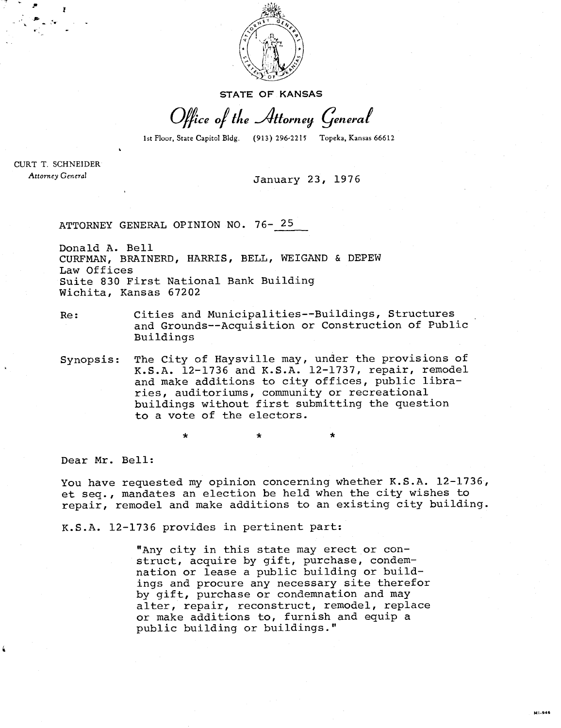

**STATE OF KANSAS** 

Office of the Attorney General

1st Floor, State Capitol Bldg. (913) 296-2215 Topeka, Kansas 66612

CURT T. SCHNEIDER Attorney General

January 23, 1976

ATTORNEY GENERAL OPINION NO. 76- 25

Donald A. Bell CURFMAN, BRAINERD, HARRIS, BELL, WEIGAND & DEPEW Law Offices Suite 830 First National Bank Building Wichita, Kansas 67202

Re: Cities and Municipalities--Buildings, Structures and Grounds--Acquisition or Construction of Public Buildings

Synopsis: The City of Haysville may, under the provisions of K.S.A. 12-1736 and K.S.A. 12-1737, repair, remodel and make additions to city offices, public libraries, auditoriums, community or recreational buildings without first submitting the question to a vote of the electors.

Dear Mr. Bell:

You have requested my opinion concerning whether K.S.A. 12-1736, et seq., mandates an election be held when the city wishes to repair, remodel and make additions to an existing city building.

K.S.A. 12-1736 provides in pertinent part:

"Any city in this state may erect or construct, acquire by gift, purchase, condemnation or lease a public building or buildings and procure any necessary site therefor by gift, purchase or condemnation and may alter, repair, reconstruct, remodel, replace or make additions to, furnish and equip a public building or buildings."

M1-946